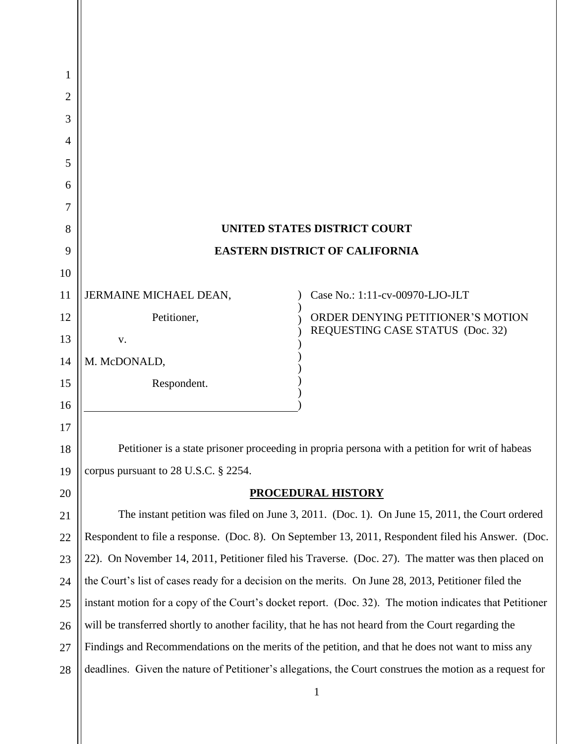|                                                                                                               | <b>UNITED STATES DISTRICT COURT</b>                                                                      |
|---------------------------------------------------------------------------------------------------------------|----------------------------------------------------------------------------------------------------------|
| <b>EASTERN DISTRICT OF CALIFORNIA</b><br>9                                                                    |                                                                                                          |
|                                                                                                               |                                                                                                          |
| JERMAINE MICHAEL DEAN,                                                                                        | Case No.: 1:11-cv-00970-LJO-JLT                                                                          |
| Petitioner,                                                                                                   | ORDER DENYING PETITIONER'S MOTION                                                                        |
| V.                                                                                                            | REQUESTING CASE STATUS (Doc. 32)                                                                         |
| M. McDONALD,                                                                                                  |                                                                                                          |
| Respondent.                                                                                                   |                                                                                                          |
|                                                                                                               |                                                                                                          |
|                                                                                                               |                                                                                                          |
| Petitioner is a state prisoner proceeding in propria persona with a petition for writ of habeas<br>18         |                                                                                                          |
| corpus pursuant to 28 U.S.C. § 2254.<br>19                                                                    |                                                                                                          |
| PROCEDURAL HISTORY<br>20                                                                                      |                                                                                                          |
| The instant petition was filed on June 3, 2011. (Doc. 1). On June 15, 2011, the Court ordered<br>21           |                                                                                                          |
| Respondent to file a response. (Doc. 8). On September 13, 2011, Respondent filed his Answer. (Doc.<br>22      |                                                                                                          |
| 22). On November 14, 2011, Petitioner filed his Traverse. (Doc. 27). The matter was then placed on<br>23      |                                                                                                          |
| the Court's list of cases ready for a decision on the merits. On June 28, 2013, Petitioner filed the<br>24    |                                                                                                          |
| instant motion for a copy of the Court's docket report. (Doc. 32). The motion indicates that Petitioner<br>25 |                                                                                                          |
| will be transferred shortly to another facility, that he has not heard from the Court regarding the<br>26     |                                                                                                          |
| Findings and Recommendations on the merits of the petition, and that he does not want to miss any<br>27       |                                                                                                          |
|                                                                                                               | deadlines. Given the nature of Petitioner's allegations, the Court construes the motion as a request for |
|                                                                                                               |                                                                                                          |

1